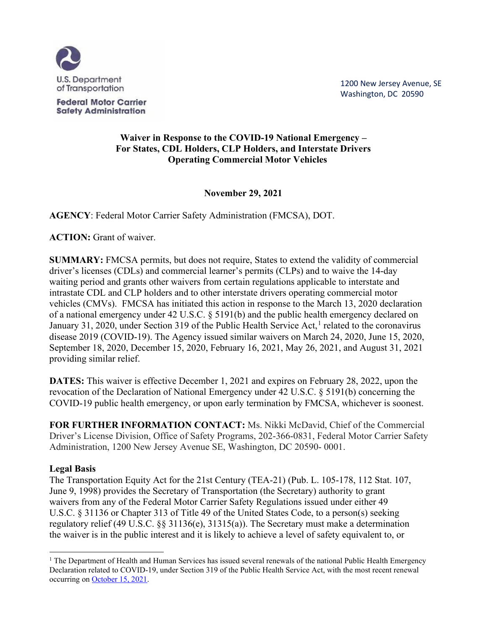

**Federal Motor Carrier Safety Administration** 

1200 New Jersey Avenue, SE Washington, DC 20590

# **Waiver in Response to the COVID-19 National Emergency – For States, CDL Holders, CLP Holders, and Interstate Drivers Operating Commercial Motor Vehicles**

**November 29, 2021**

**AGENCY**: Federal Motor Carrier Safety Administration (FMCSA), DOT.

**ACTION:** Grant of waiver.

**SUMMARY:** FMCSA permits, but does not require, States to extend the validity of commercial driver's licenses (CDLs) and commercial learner's permits (CLPs) and to waive the 14-day waiting period and grants other waivers from certain regulations applicable to interstate and intrastate CDL and CLP holders and to other interstate drivers operating commercial motor vehicles (CMVs). FMCSA has initiated this action in response to the March 13, 2020 declaration of a national emergency under 42 U.S.C. § 5191(b) and the public health emergency declared on January 31, 2020, under Section 319 of the Public Health Service Act,<sup>1</sup> related to the coronavirus disease 2019 (COVID-19). The Agency issued similar waivers on March 24, 2020, June 15, 2020, September 18, 2020, December 15, 2020, February 16, 2021, May 26, 2021, and August 31, 2021 providing similar relief.

**DATES:** This waiver is effective December 1, 2021 and expires on February 28, 2022, upon the revocation of the Declaration of National Emergency under 42 U.S.C. § 5191(b) concerning the COVID-19 public health emergency, or upon early termination by FMCSA, whichever is soonest.

**FOR FURTHER INFORMATION CONTACT:** Ms. Nikki McDavid, Chief of the Commercial Driver's License Division, Office of Safety Programs, 202-366-0831, Federal Motor Carrier Safety Administration, 1200 New Jersey Avenue SE, Washington, DC 20590- 0001.

### **Legal Basis**

The Transportation Equity Act for the 21st Century (TEA-21) (Pub. L. 105-178, 112 Stat. 107, June 9, 1998) provides the Secretary of Transportation (the Secretary) authority to grant waivers from any of the Federal Motor Carrier Safety Regulations issued under either 49 U.S.C. § 31136 or Chapter 313 of Title 49 of the United States Code, to a person(s) seeking regulatory relief (49 U.S.C. §§ 31136(e), 31315(a)). The Secretary must make a determination the waiver is in the public interest and it is likely to achieve a level of safety equivalent to, or

 $<sup>1</sup>$  The Department of Health and Human Services has issued several renewals of the national Public Health Emergency</sup> Declaration related to COVID-19, under Section 319 of the Public Health Service Act, with the most recent renewal occurring on October 15, 2021.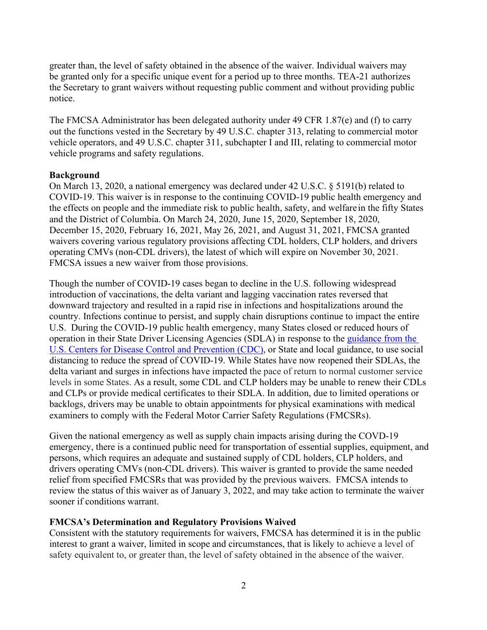greater than, the level of safety obtained in the absence of the waiver. Individual waivers may be granted only for a specific unique event for a period up to three months. TEA-21 authorizes the Secretary to grant waivers without requesting public comment and without providing public notice.

The FMCSA Administrator has been delegated authority under 49 CFR 1.87(e) and (f) to carry out the functions vested in the Secretary by 49 U.S.C. chapter 313, relating to commercial motor vehicle operators, and 49 U.S.C. chapter 311, subchapter I and III, relating to commercial motor vehicle programs and safety regulations.

### **Background**

On March 13, 2020, a national emergency was declared under 42 U.S.C. § 5191(b) related to COVID-19. This waiver is in response to the continuing COVID-19 public health emergency and the effects on people and the immediate risk to public health, safety, and welfarein the fifty States and the District of Columbia. On March 24, 2020, June 15, 2020, September 18, 2020, December 15, 2020, February 16, 2021, May 26, 2021, and August 31, 2021, FMCSA granted waivers covering various regulatory provisions affecting CDL holders, CLP holders, and drivers operating CMVs (non-CDL drivers), the latest of which will expire on November 30, 2021. FMCSA issues a new waiver from those provisions.

Though the number of COVID-19 cases began to decline in the U.S. following widespread introduction of vaccinations, the delta variant and lagging vaccination rates reversed that downward trajectory and resulted in a rapid rise in infections and hospitalizations around the country. Infections continue to persist, and supply chain disruptions continue to impact the entire U.S. During the COVID-19 public health emergency, many States closed or reduced hours of operation in their State Driver Licensing Agencies (SDLA) in response to the guidance from the U.S. Centers for Disease Control and Prevention (CDC), or State and local guidance, to use social distancing to reduce the spread of COVID-19. While States have now reopened their SDLAs, the delta variant and surges in infections have impacted the pace of return to normal customer service levels in some States. As a result, some CDL and CLP holders may be unable to renew their CDLs and CLPs or provide medical certificates to their SDLA. In addition, due to limited operations or backlogs, drivers may be unable to obtain appointments for physical examinations with medical examiners to comply with the Federal Motor Carrier Safety Regulations (FMCSRs).

Given the national emergency as well as supply chain impacts arising during the COVD-19 emergency, there is a continued public need for transportation of essential supplies, equipment, and persons, which requires an adequate and sustained supply of CDL holders, CLP holders, and drivers operating CMVs (non-CDL drivers). This waiver is granted to provide the same needed relief from specified FMCSRs that was provided by the previous waivers. FMCSA intends to review the status of this waiver as of January 3, 2022, and may take action to terminate the waiver sooner if conditions warrant.

### **FMCSA's Determination and Regulatory Provisions Waived**

Consistent with the statutory requirements for waivers, FMCSA has determined it is in the public interest to grant a waiver, limited in scope and circumstances, that is likely to achieve a level of safety equivalent to, or greater than, the level of safety obtained in the absence of the waiver.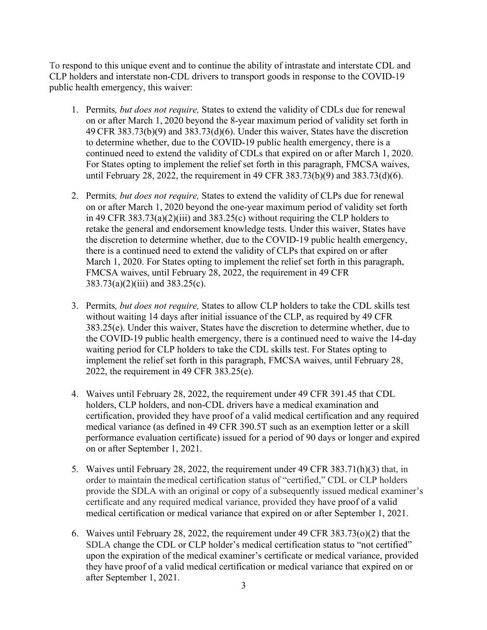To respond to this unique event and to continue the ability of intrastate and interstate CDL and CLP holders and interstate non-CDL drivers to transport goods in response to the COVID-19 public health emergency, this waiver:

- 1. Permits*, but does not require,* States to extend the validity of CDLs due for renewal on or after March 1, 2020 beyond the 8-year maximum period of validity set forth in 49 CFR 383.73(b)(9) and 383.73(d)(6). Under this waiver, States have the discretion to determine whether, due to the COVID-19 public health emergency, there is a continued need to extend the validity of CDLs that expired on or after March 1, 2020. For States opting to implement the relief set forth in this paragraph, FMCSA waives, until February 28, 2022, the requirement in 49 CFR 383.73(b)(9) and 383.73(d)(6).
- 2. Permits*, but does not require,* States to extend the validity of CLPs due for renewal on or after March 1, 2020 beyond the one-year maximum period of validity set forth in 49 CFR 383.73(a)(2)(iii) and 383.25(c) without requiring the CLP holders to retake the general and endorsement knowledge tests. Under this waiver, States have the discretion to determine whether, due to the COVID-19 public health emergency, there is a continued need to extend the validity of CLPs that expired on or after March 1, 2020. For States opting to implement the relief set forth in this paragraph, FMCSA waives, until February 28, 2022, the requirement in 49 CFR 383.73(a)(2)(iii) and 383.25(c).
- 3. Permits*, but does not require,* States to allow CLP holders to take the CDL skills test without waiting 14 days after initial issuance of the CLP, as required by 49 CFR 383.25(e). Under this waiver, States have the discretion to determine whether, due to the COVID-19 public health emergency, there is a continued need to waive the 14-day waiting period for CLP holders to take the CDL skills test. For States opting to implement the relief set forth in this paragraph, FMCSA waives, until February 28, 2022, the requirement in 49 CFR 383.25(e).
- 4. Waives until February 28, 2022, the requirement under 49 CFR 391.45 that CDL holders, CLP holders, and non-CDL drivers have a medical examination and certification, provided they have proof of a valid medical certification and any required medical variance (as defined in 49 CFR 390.5T such as an exemption letter or a skill performance evaluation certificate) issued for a period of 90 days or longer and expired on or after September 1, 2021.
- 5. Waives until February 28, 2022, the requirement under 49 CFR 383.71(h)(3) that, in order to maintain themedical certification status of "certified," CDL or CLP holders provide the SDLA with an original or copy of a subsequently issued medical examiner's certificate and any required medical variance, provided they have proof of a valid medical certification or medical variance that expired on or after September 1, 2021.
- 6. Waives until February 28, 2022, the requirement under 49 CFR 383.73(o)(2) that the SDLA change the CDL or CLP holder's medical certification status to "not certified" upon the expiration of the medical examiner's certificate or medical variance, provided they have proof of a valid medical certification or medical variance that expired on or after September 1, 2021.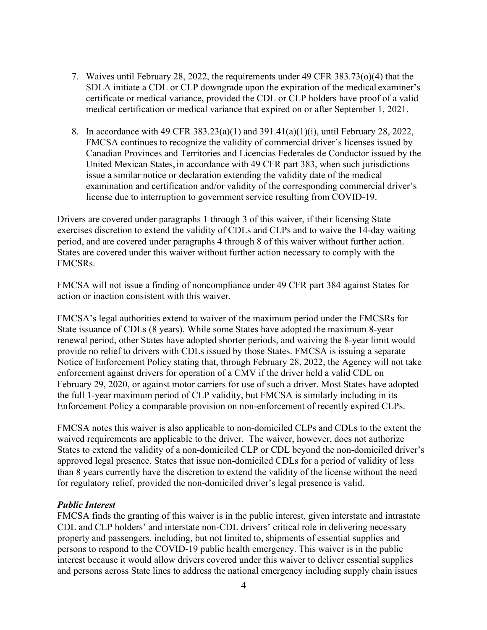- 7. Waives until February 28, 2022, the requirements under 49 CFR 383.73(o)(4) that the SDLA initiate a CDL or CLP downgrade upon the expiration of the medical examiner's certificate or medical variance, provided the CDL or CLP holders have proof of a valid medical certification or medical variance that expired on or after September 1, 2021.
- 8. In accordance with 49 CFR 383.23(a)(1) and 391.41(a)(1)(i), until February 28, 2022, FMCSA continues to recognize the validity of commercial driver's licenses issued by Canadian Provinces and Territories and Licencias Federales de Conductor issued by the United Mexican States, in accordance with 49 CFR part 383, when such jurisdictions issue a similar notice or declaration extending the validity date of the medical examination and certification and/or validity of the corresponding commercial driver's license due to interruption to government service resulting from COVID-19.

Drivers are covered under paragraphs 1 through 3 of this waiver, if their licensing State exercises discretion to extend the validity of CDLs and CLPs and to waive the 14-day waiting period, and are covered under paragraphs 4 through 8 of this waiver without further action. States are covered under this waiver without further action necessary to comply with the FMCSRs.

FMCSA will not issue a finding of noncompliance under 49 CFR part 384 against States for action or inaction consistent with this waiver.

FMCSA's legal authorities extend to waiver of the maximum period under the FMCSRs for State issuance of CDLs (8 years). While some States have adopted the maximum 8-year renewal period, other States have adopted shorter periods, and waiving the 8-year limit would provide no relief to drivers with CDLs issued by those States. FMCSA is issuing a separate Notice of Enforcement Policy stating that, through February 28, 2022, the Agency will not take enforcement against drivers for operation of a CMV if the driver held a valid CDL on February 29, 2020, or against motor carriers for use of such a driver. Most States have adopted the full 1-year maximum period of CLP validity, but FMCSA is similarly including in its Enforcement Policy a comparable provision on non-enforcement of recently expired CLPs.

FMCSA notes this waiver is also applicable to non-domiciled CLPs and CDLs to the extent the waived requirements are applicable to the driver. The waiver, however, does not authorize States to extend the validity of a non-domiciled CLP or CDL beyond the non-domiciled driver's approved legal presence. States that issue non-domiciled CDLs for a period of validity of less than 8 years currently have the discretion to extend the validity of the license without the need for regulatory relief, provided the non-domiciled driver's legal presence is valid.

### *Public Interest*

FMCSA finds the granting of this waiver is in the public interest, given interstate and intrastate CDL and CLP holders' and interstate non-CDL drivers' critical role in delivering necessary property and passengers, including, but not limited to, shipments of essential supplies and persons to respond to the COVID-19 public health emergency. This waiver is in the public interest because it would allow drivers covered under this waiver to deliver essential supplies and persons across State lines to address the national emergency including supply chain issues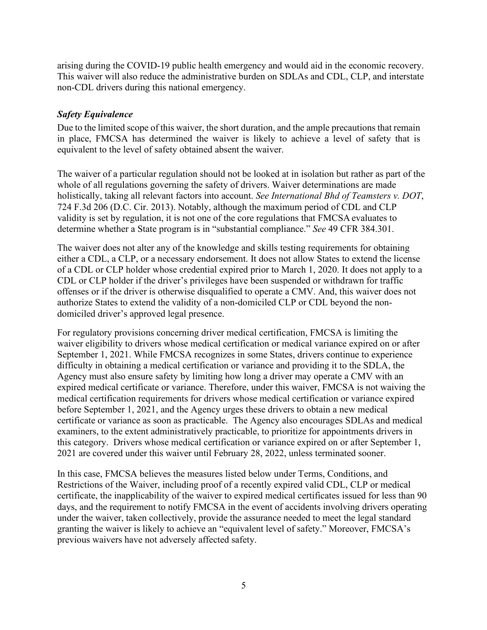arising during the COVID-19 public health emergency and would aid in the economic recovery. This waiver will also reduce the administrative burden on SDLAs and CDL, CLP, and interstate non-CDL drivers during this national emergency.

# *Safety Equivalence*

Due to the limited scope of this waiver, the short duration, and the ample precautions that remain in place, FMCSA has determined the waiver is likely to achieve a level of safety that is equivalent to the level of safety obtained absent the waiver.

The waiver of a particular regulation should not be looked at in isolation but rather as part of the whole of all regulations governing the safety of drivers. Waiver determinations are made holistically, taking all relevant factors into account. *See International Bhd of Teamsters v. DOT*, 724 F.3d 206 (D.C. Cir. 2013). Notably, although the maximum period of CDL and CLP validity is set by regulation, it is not one of the core regulations that FMCSA evaluates to determine whether a State program is in "substantial compliance." *See* 49 CFR 384.301.

The waiver does not alter any of the knowledge and skills testing requirements for obtaining either a CDL, a CLP, or a necessary endorsement. It does not allow States to extend the license of a CDL or CLP holder whose credential expired prior to March 1, 2020. It does not apply to a CDL or CLP holder if the driver's privileges have been suspended or withdrawn for traffic offenses or if the driver is otherwise disqualified to operate a CMV. And, this waiver does not authorize States to extend the validity of a non-domiciled CLP or CDL beyond the nondomiciled driver's approved legal presence.

For regulatory provisions concerning driver medical certification, FMCSA is limiting the waiver eligibility to drivers whose medical certification or medical variance expired on or after September 1, 2021. While FMCSA recognizes in some States, drivers continue to experience difficulty in obtaining a medical certification or variance and providing it to the SDLA, the Agency must also ensure safety by limiting how long a driver may operate a CMV with an expired medical certificate or variance. Therefore, under this waiver, FMCSA is not waiving the medical certification requirements for drivers whose medical certification or variance expired before September 1, 2021, and the Agency urges these drivers to obtain a new medical certificate or variance as soon as practicable. The Agency also encourages SDLAs and medical examiners, to the extent administratively practicable, to prioritize for appointments drivers in this category. Drivers whose medical certification or variance expired on or after September 1, 2021 are covered under this waiver until February 28, 2022, unless terminated sooner.

In this case, FMCSA believes the measures listed below under Terms, Conditions, and Restrictions of the Waiver, including proof of a recently expired valid CDL, CLP or medical certificate, the inapplicability of the waiver to expired medical certificates issued for less than 90 days, and the requirement to notify FMCSA in the event of accidents involving drivers operating under the waiver, taken collectively, provide the assurance needed to meet the legal standard granting the waiver is likely to achieve an "equivalent level of safety." Moreover, FMCSA's previous waivers have not adversely affected safety.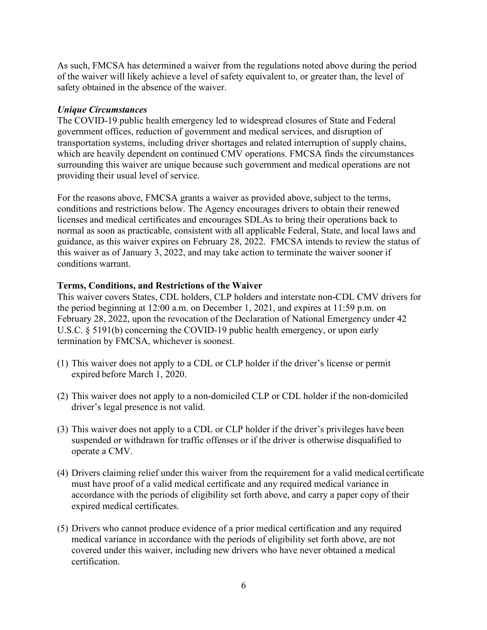As such, FMCSA has determined a waiver from the regulations noted above during the period of the waiver will likely achieve a level of safety equivalent to, or greater than, the level of safety obtained in the absence of the waiver.

#### *Unique Circumstances*

The COVID-19 public health emergency led to widespread closures of State and Federal government offices, reduction of government and medical services, and disruption of transportation systems, including driver shortages and related interruption of supply chains, which are heavily dependent on continued CMV operations. FMCSA finds the circumstances surrounding this waiver are unique because such government and medical operations are not providing their usual level of service.

For the reasons above, FMCSA grants a waiver as provided above, subject to the terms, conditions and restrictions below. The Agency encourages drivers to obtain their renewed licenses and medical certificates and encourages SDLAs to bring their operations back to normal as soon as practicable, consistent with all applicable Federal, State, and local laws and guidance, as this waiver expires on February 28, 2022. FMCSA intends to review the status of this waiver as of January 3, 2022, and may take action to terminate the waiver sooner if conditions warrant.

#### **Terms, Conditions, and Restrictions of the Waiver**

This waiver covers States, CDL holders, CLP holders and interstate non-CDL CMV drivers for the period beginning at 12:00 a.m. on December 1, 2021, and expires at 11:59 p.m. on February 28, 2022, upon the revocation of the Declaration of National Emergency under 42 U.S.C. § 5191(b) concerning the COVID-19 public health emergency, or upon early termination by FMCSA, whichever is soonest.

- (1) This waiver does not apply to a CDL or CLP holder if the driver's license or permit expired before March 1, 2020.
- (2) This waiver does not apply to a non-domiciled CLP or CDL holder if the non-domiciled driver's legal presence is not valid.
- (3) This waiver does not apply to a CDL or CLP holder if the driver's privileges have been suspended or withdrawn for traffic offenses or if the driver is otherwise disqualified to operate a CMV.
- (4) Drivers claiming relief under this waiver from the requirement for a valid medical certificate must have proof of a valid medical certificate and any required medical variance in accordance with the periods of eligibility set forth above, and carry a paper copy of their expired medical certificates.
- (5) Drivers who cannot produce evidence of a prior medical certification and any required medical variance in accordance with the periods of eligibility set forth above, are not covered under this waiver, including new drivers who have never obtained a medical certification.